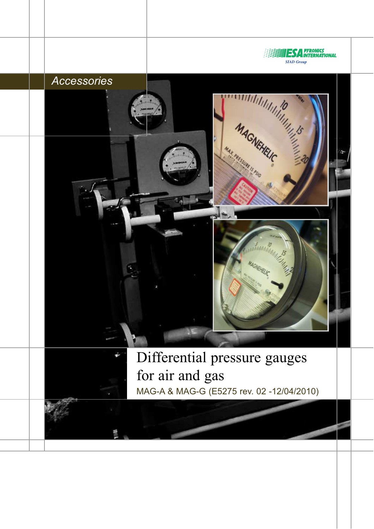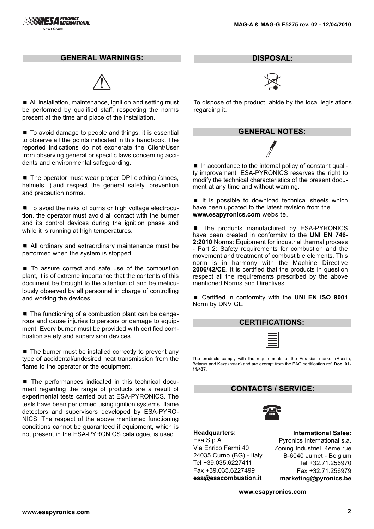#### **GENERAL WARNINGS:**



■ All installation, maintenance, ignition and setting must be performed by qualified staff, respecting the norms present at the time and place of the installation.

■ To avoid damage to people and things, it is essential to observe all the points indicated in this handbook. The reported indications do not exonerate the Client/User from observing general or specific laws concerning accidents and environmental safeguarding.

■ The operator must wear proper DPI clothing (shoes, helmets...) and respect the general safety, prevention and precaution norms.

■ To avoid the risks of burns or high voltage electrocution, the operator must avoid all contact with the burner and its control devices during the ignition phase and while it is running at high temperatures.

■ All ordinary and extraordinary maintenance must be performed when the system is stopped.

■ To assure correct and safe use of the combustion plant, it is of extreme importance that the contents of this document be brought to the attention of and be meticulously observed by all personnel in charge of controlling and working the devices.

■ The functioning of a combustion plant can be dangerous and cause injuries to persons or damage to equipment. Every burner must be provided with certified combustion safety and supervision devices.

 $\blacksquare$  The burner must be installed correctly to prevent any type of accidental/undesired heat transmission from the flame to the operator or the equipment.

■ The performances indicated in this technical document regarding the range of products are a result of experimental tests carried out at ESA-PYRONICS. The tests have been performed using ignition systems, flame detectors and supervisors developed by ESA-PYRO-NICS. The respect of the above mentioned functioning conditions cannot be guaranteed if equipment, which is not present in the ESA-PYRONICS catalogue, is used.

**DISPOSAL:**



To dispose of the product, abide by the local legislations regarding it.

| <b>GENERAL NOTES:</b> |  |
|-----------------------|--|
|                       |  |

■ In accordance to the internal policy of constant quality improvement, ESA-PYRONICS reserves the right to modify the technical characteristics of the present document at any time and without warning.

■ It is possible to download technical sheets which have been updated to the latest revision from the **www.esapyronics.com** website.

■ The products manufactured by ESA-PYRONICS have been created in conformity to the **UNI EN 746- 2:2010** Norms: Equipment for industrial thermal process - Part 2: Safety requirements for combustion and the movement and treatment of combustible elements. This norm is in harmony with the Machine Directive **2006/42/CE**. It is certified that the products in question respect all the requirements prescribed by the above mentioned Norms and Directives.

■ Certified in conformity with the **UNI EN ISO 9001** Norm by DNV GL.

| <b>CERTIFICATIONS:</b> |  |  |  |
|------------------------|--|--|--|
|                        |  |  |  |

The products comply with the requirements of the Eurasian market (Russia, Belarus and Kazakhstan) and are exempt from the EAC certification ref. **Doc. 01- 11/437**.

### **CONTACTS / SERVICE:**



**Headquarters:** Esa S.p.A. Via Enrico Fermi 40 24035 Curno (BG) - Italy Tel +39.035.6227411 Fax +39.035.6227499 **esa@esacombustion.it**

**International Sales:** Pyronics International s.a. Zoning Industriel, 4ème rue B-6040 Jumet - Belgium Tel +32.71.256970 Fax +32.71.256979 **marketing@pyronics.be**

**www.esapyronics.com**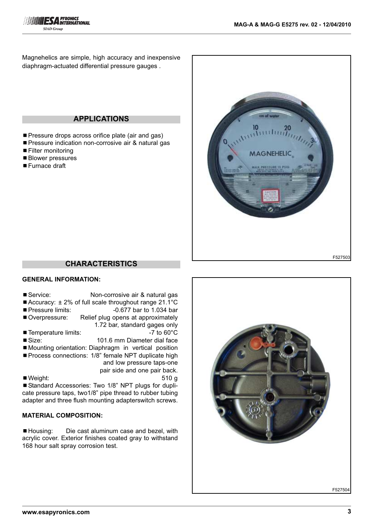

Magnehelics are simple, high accuracy and inexpensive diaphragm-actuated differential pressure gauges .

## **APPLICATIONS**

- **Pressure drops across orifice plate (air and gas)**
- Pressure indication non-corrosive air & natural gas
- Filter monitoring
- Blower pressures
- Furnace draft



### **CHARACTERISTICS**

#### **GENERAL INFORMATION:**

- Service: Non-corrosive air & natural gas ■ Accuracy: ± 2% of full scale throughout range 21.1°C
- Pressure limits: -0.677 bar to 1.034 bar
- Overpressure: Relief plug opens at approximately 1.72 bar, standard gages only
- Temperature limits:  $-7$  to 60°C
- Size: 101.6 mm Diameter dial face
- Mounting orientation: Diaphragm in vertical position
- Process connections: 1/8" female NPT duplicate high
	- and low pressure taps-one
- pair side and one pair back. ■ Weight: 510 g

■ Standard Accessories: Two 1/8" NPT plugs for duplicate pressure taps, two1/8" pipe thread to rubber tubing adapter and three flush mounting adapterswitch screws.

# **MATERIAL COMPOSITION:**

■ Housing: Die cast aluminum case and bezel, with acrylic cover. Exterior finishes coated gray to withstand 168 hour salt spray corrosion test.

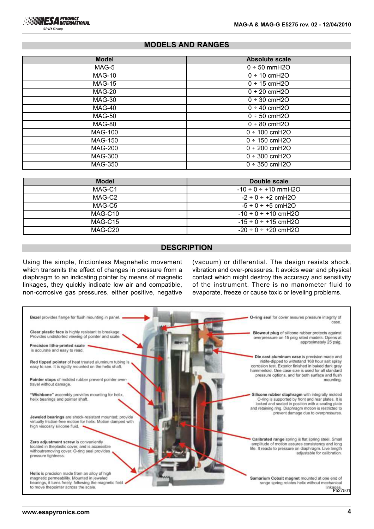**SIAD Group** 

## **MODELS AND RANGES**

| <b>Model</b>   | <b>Absolute scale</b>      |
|----------------|----------------------------|
| MAG-5          | $0 ÷ 50$ mmH2O             |
| <b>MAG-10</b>  | $0 ÷ 10$ cmH2O             |
| MAG-15         | $\overline{0}$ ÷ 15 cmH2O  |
| <b>MAG-20</b>  | $0 ÷ 20$ cmH2O             |
| MAG-30         | $0 ÷ 30$ cmH2O             |
| MAG-40         | $0 \div 40$ cmH2O          |
| <b>MAG-50</b>  | $0 ÷ 50$ cmH2O             |
| MAG-80         | $0 ÷ 80$ cmH2O             |
| <b>MAG-100</b> | $0 \div 100$ cmH2O         |
| <b>MAG-150</b> | $0 \div 150$ cmH2O         |
| <b>MAG-200</b> | $\overline{0}$ ÷ 200 cmH2O |
| <b>MAG-300</b> | $0 ÷ 300$ cmH2O            |
| <b>MAG-350</b> | $0 ÷ 350$ cmH2O            |

| <b>Model</b> | Double scale                |
|--------------|-----------------------------|
| MAG-C1       | $-10 \div 0 \div +10$ mmH2O |
| MAG-C2       | $-2 \div 0 \div 2$ cmH2O    |
| MAG-C5       | $-5 \div 0 \div 5$ cmH2O    |
| MAG-C10      | $-10 \div 0 \div +10$ cmH2O |
| $MAG-C15$    | $-15 \div 0 \div +15$ cmH2O |
| MAG-C20      | $-20 \div 0 \div 20$ cmH2O  |

#### **DESCRIPTION**

Using the simple, frictionless Magnehelic movement which transmits the effect of changes in pressure from a diaphragm to an indicating pointer by means of magnetic linkages, they quickly indicate low air and compatible, non-corrosive gas pressures, either positive, negative

(vacuum) or differential. The design resists shock, vibration and over-pressures. It avoids wear and physical contact which might destroy the accuracy and sensitivity of the instrument. There is no manometer fluid to evaporate, freeze or cause toxic or leveling problems.

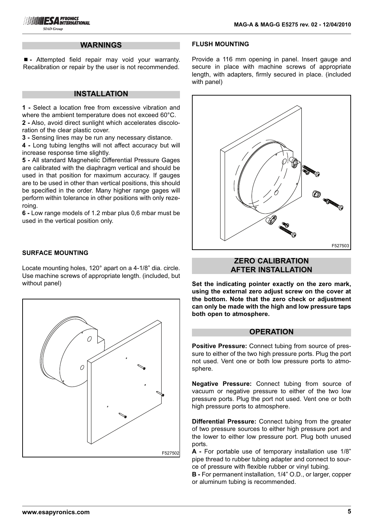#### **WARNINGS**

■ - Attempted field repair may void your warranty. Recalibration or repair by the user is not recommended.

### **INSTALLATION**

**1 -** Select a location free from excessive vibration and where the ambient temperature does not exceed 60°C. **2 -** Also, avoid direct sunlight which accelerates discoloration of the clear plastic cover.

**3 -** Sensing lines may be run any necessary distance.

**4 -** Long tubing lengths will not affect accuracy but will increase response time slightly.

**5 -** All standard Magnehelic Differential Pressure Gages are calibrated with the diaphragm vertical and should be used in that position for maximum accuracy. If gauges are to be used in other than vertical positions, this should be specified in the order. Many higher range gages will perform within tolerance in other positions with only rezeroing.

**6 -** Low range models of 1.2 mbar plus 0,6 mbar must be used in the vertical position only.

## **SURFACE MOUNTING**

Locate mounting holes, 120° apart on a 4-1/8" dia. circle. Use machine screws of appropriate length. (included, but without panel)



## **FLUSH MOUNTING**

Provide a 116 mm opening in panel. Insert gauge and secure in place with machine screws of appropriate length, with adapters, firmly secured in place. (included with panel)



# **ZERO CALIBRATION AFTER INSTALLATION**

**Set the indicating pointer exactly on the zero mark, using the external zero adjust screw on the cover at the bottom. Note that the zero check or adjustment can only be made with the high and low pressure taps both open to atmosphere.**

#### **OPERATION**

**Positive Pressure:** Connect tubing from source of pressure to either of the two high pressure ports. Plug the port not used. Vent one or both low pressure ports to atmosphere.

**Negative Pressure:** Connect tubing from source of vacuum or negative pressure to either of the two low pressure ports. Plug the port not used. Vent one or both high pressure ports to atmosphere.

**Differential Pressure:** Connect tubing from the greater of two pressure sources to either high pressure port and the lower to either low pressure port. Plug both unused ports.

**A -** For portable use of temporary installation use 1/8" pipe thread to rubber tubing adapter and connect to source of pressure with flexible rubber or vinyl tubing.

**B -** For permanent installation, 1/4" O.D., or larger, copper or aluminum tubing is recommended.